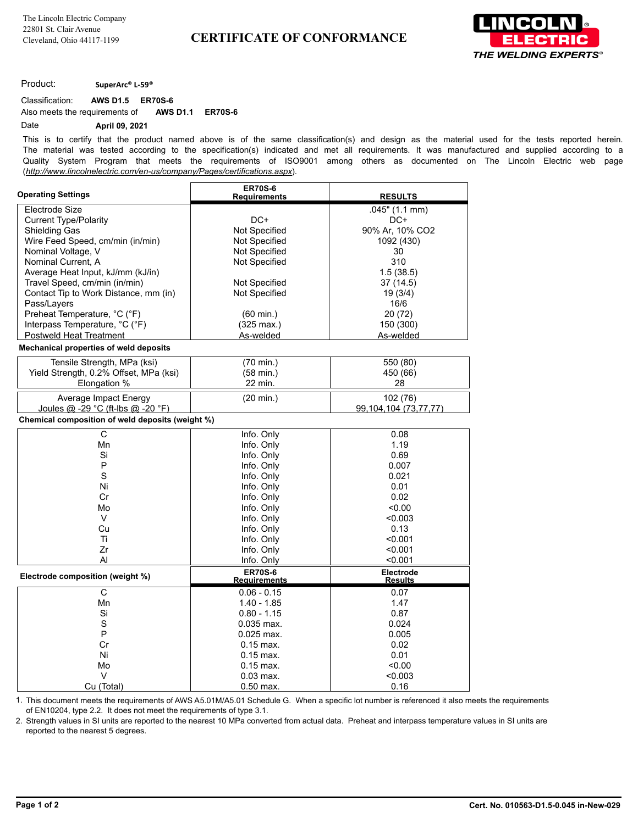

Product: **SuperArc® L-59®**

Classification: **AWS D1.5 ER70S-6**

Also meets the requirements of **AWS D1.1 ER70S-6**

## Date **April 09, 2021**

This is to certify that the product named above is of the same classification(s) and design as the material used for the tests reported herein. The material was tested according to the specification(s) indicated and met all requirements. It was manufactured and supplied according to a Quality System Program that meets the requirements of ISO9001 among others as documented on The Lincoln Electric web page (*http://www.lincolnelectric.com/en-us/company/Pages/certifications.aspx*).

| <b>Operating Settings</b>                                          | <b>ER70S-6</b>                 |                           |
|--------------------------------------------------------------------|--------------------------------|---------------------------|
|                                                                    | <b>Requirements</b>            | <b>RESULTS</b>            |
| Electrode Size                                                     |                                | .045" (1.1 mm)            |
| <b>Current Type/Polarity</b>                                       | $DC+$                          | $DC+$                     |
| <b>Shielding Gas</b>                                               | Not Specified                  | 90% Ar, 10% CO2           |
| Wire Feed Speed, cm/min (in/min)<br>Nominal Voltage, V             | Not Specified<br>Not Specified | 1092 (430)                |
|                                                                    |                                | 30<br>310                 |
| Nominal Current, A                                                 | Not Specified                  |                           |
| Average Heat Input, kJ/mm (kJ/in)<br>Travel Speed, cm/min (in/min) |                                | 1.5(38.5)                 |
|                                                                    | Not Specified                  | 37 (14.5)                 |
| Contact Tip to Work Distance, mm (in)<br>Pass/Layers               | Not Specified                  | 19(3/4)<br>16/6           |
| Preheat Temperature, °C (°F)                                       |                                |                           |
|                                                                    | $(60 \text{ min.})$            | 20 (72)                   |
| Interpass Temperature, °C (°F)<br><b>Postweld Heat Treatment</b>   | $(325 \text{ max.})$           | 150 (300)                 |
|                                                                    | As-welded                      | As-welded                 |
| Mechanical properties of weld deposits                             |                                |                           |
| Tensile Strength, MPa (ksi)                                        | (70 min.)                      | 550 (80)                  |
| Yield Strength, 0.2% Offset, MPa (ksi)                             | $(58 \text{ min.})$            | 450 (66)                  |
| Elongation %                                                       | 22 min.                        | 28                        |
| Average Impact Energy                                              | $(20 \text{ min.})$            | 102 (76)                  |
| Joules @ -29 °C (ft-lbs @ -20 °F)                                  |                                | 99, 104, 104 (73, 77, 77) |
| Chemical composition of weld deposits (weight %)                   |                                |                           |
| С                                                                  | Info. Only                     | 0.08                      |
| Mn                                                                 | Info. Only                     | 1.19                      |
| Si                                                                 | Info. Only                     | 0.69                      |
| P                                                                  | Info. Only                     | 0.007                     |
| S                                                                  | Info. Only                     | 0.021                     |
| Ni                                                                 | Info. Only                     | 0.01                      |
| Cr                                                                 | Info. Only                     | 0.02                      |
| Mo                                                                 | Info. Only                     | < 0.00                    |
| V                                                                  | Info. Only                     | < 0.003                   |
| Cu                                                                 | Info. Only                     | 0.13                      |
| Ti                                                                 | Info. Only                     | < 0.001                   |
| Zr                                                                 | Info. Only                     | < 0.001                   |
| AI                                                                 | Info. Only                     | < 0.001                   |
| Electrode composition (weight %)                                   | <b>ER70S-6</b>                 | Electrode                 |
|                                                                    | <b>Requirements</b>            | <b>Results</b>            |
| С                                                                  | $0.06 - 0.15$                  | 0.07                      |
| Mn                                                                 | $1.40 - 1.85$                  | 1.47                      |
| Si                                                                 | $0.80 - 1.15$                  | 0.87                      |
| S                                                                  | $0.035$ max.                   | 0.024                     |
| P                                                                  | $0.025$ max.                   | 0.005                     |
| Cr                                                                 | $0.15$ max.                    | 0.02                      |
| Ni                                                                 | $0.15$ max.                    | 0.01                      |
| Mo                                                                 | $0.15$ max.                    | < 0.00                    |
| V                                                                  | $0.03$ max.                    | < 0.003                   |
| Cu (Total)                                                         | 0.50 max.                      | 0.16                      |

1. This document meets the requirements of AWS A5.01M/A5.01 Schedule G. When a specific lot number is referenced it also meets the requirements of EN10204, type 2.2. It does not meet the requirements of type 3.1.

2. Strength values in SI units are reported to the nearest 10 MPa converted from actual data. Preheat and interpass temperature values in SI units are reported to the nearest 5 degrees.